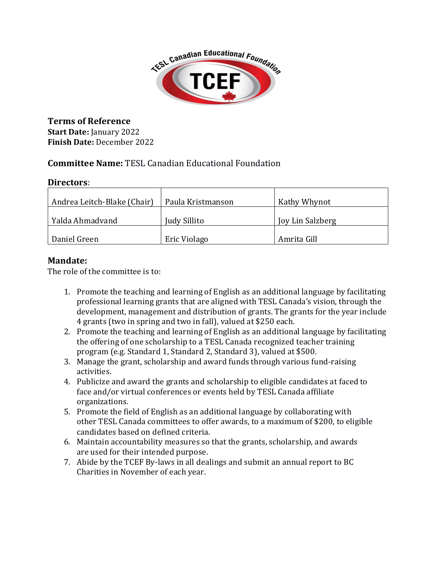

**Terms of Reference Start Date:** January 2022 **Finish Date:** December 2022

# **Committee Name:** TESL Canadian Educational Foundation

#### **Directors**:

| Andrea Leitch-Blake (Chair) | Paula Kristmanson | Kathy Whynot     |
|-----------------------------|-------------------|------------------|
| Yalda Ahmadyand             | Judy Sillito      | Joy Lin Salzberg |
| Daniel Green                | Eric Violago      | Amrita Gill      |

## **Mandate:**

The role of the committee is to:

- 1. Promote the teaching and learning of English as an additional language by facilitating professional learning grants that are aligned with TESL Canada's vision, through the development, management and distribution of grants. The grants for the year include 4 grants (two in spring and two in fall), valued at \$250 each.
- 2. Promote the teaching and learning of English as an additional language by facilitating the offering of one scholarship to a TESL Canada recognized teacher training program (e.g. Standard 1, Standard 2, Standard 3), valued at \$500.
- 3. Manage the grant, scholarship and award funds through various fund-raising activities.
- 4. Publicize and award the grants and scholarship to eligible candidates at faced to face and/or virtual conferences or events held by TESL Canada affiliate organizations.
- 5. Promote the field of English as an additional language by collaborating with other TESL Canada committees to offer awards, to a maximum of \$200, to eligible candidates based on defined criteria.
- 6. Maintain accountability measures so that the grants, scholarship, and awards are used for their intended purpose.
- 7. Abide by the TCEF By-laws in all dealings and submit an annual report to BC Charities in November of each year.